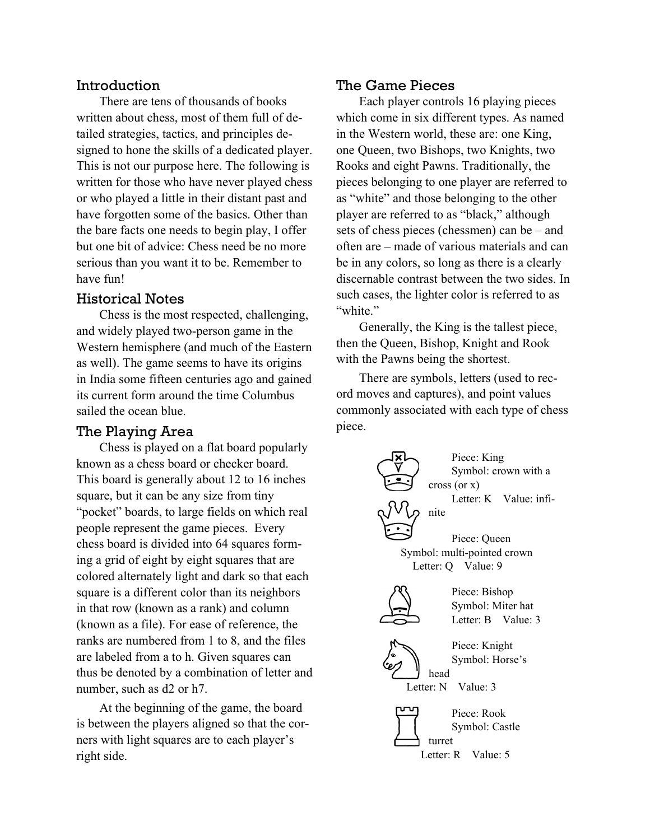## Introduction

There are tens of thousands of books written about chess, most of them full of detailed strategies, tactics, and principles designed to hone the skills of a dedicated player. This is not our purpose here. The following is written for those who have never played chess or who played a little in their distant past and have forgotten some of the basics. Other than the bare facts one needs to begin play, I offer but one bit of advice: Chess need be no more serious than you want it to be. Remember to have fun!

## Historical Notes

Chess is the most respected, challenging, and widely played two-person game in the Western hemisphere (and much of the Eastern as well). The game seems to have its origins in India some fifteen centuries ago and gained its current form around the time Columbus sailed the ocean blue.

# The Playing Area

Chess is played on a flat board popularly known as a chess board or checker board. This board is generally about 12 to 16 inches square, but it can be any size from tiny "pocket" boards, to large fields on which real people represent the game pieces. Every chess board is divided into 64 squares forming a grid of eight by eight squares that are colored alternately light and dark so that each square is a different color than its neighbors in that row (known as a rank) and column (known as a file). For ease of reference, the ranks are numbered from 1 to 8, and the files are labeled from a to h. Given squares can thus be denoted by a combination of letter and number, such as d2 or h7.

At the beginning of the game, the board is between the players aligned so that the corners with light squares are to each player's right side.

#### The Game Pieces

Each player controls 16 playing pieces which come in six different types. As named in the Western world, these are: one King, one Queen, two Bishops, two Knights, two Rooks and eight Pawns. Traditionally, the pieces belonging to one player are referred to as "white" and those belonging to the other player are referred to as "black," although sets of chess pieces (chessmen) can be – and often are – made of various materials and can be in any colors, so long as there is a clearly discernable contrast between the two sides. In such cases, the lighter color is referred to as "white."

Generally, the King is the tallest piece, then the Queen, Bishop, Knight and Rook with the Pawns being the shortest.

There are symbols, letters (used to record moves and captures), and point values commonly associated with each type of chess piece.



Symbol: Castle turret Letter: R Value: 5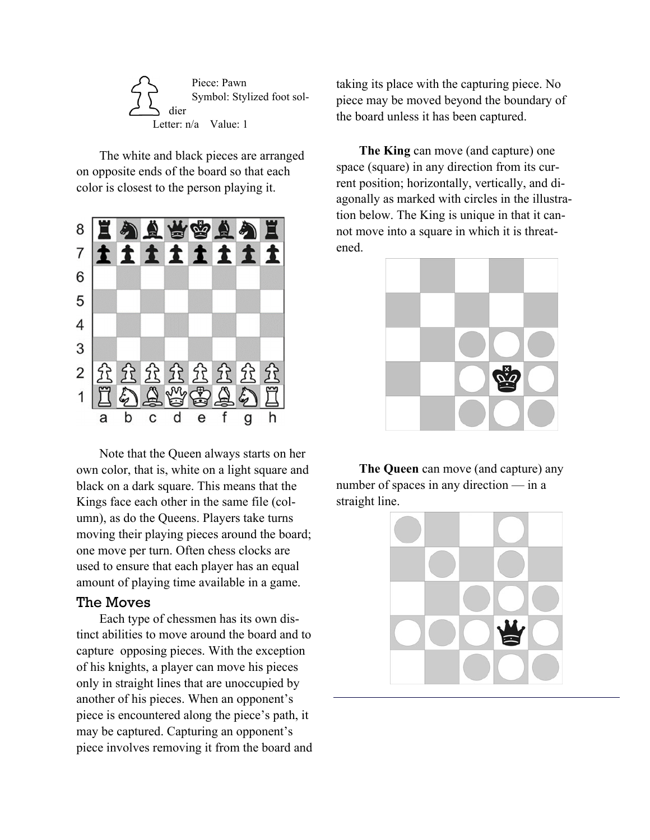

The white and black pieces are arranged on opposite ends of the board so that each color is closest to the person playing it.



Note that the Queen always starts on her own color, that is, white on a light square and black on a dark square. This means that the Kings face each other in the same file (column), as do the Queens. Players take turns moving their playing pieces around the board; one move per turn. Often chess clocks are used to ensure that each player has an equal amount of playing time available in a game.

#### The Moves

Each type of chessmen has its own distinct abilities to move around the board and to capture opposing pieces. With the exception of his knights, a player can move his pieces only in straight lines that are unoccupied by another of his pieces. When an opponent's piece is encountered along the piece's path, it may be captured. Capturing an opponent's piece involves removing it from the board and taking its place with the capturing piece. No piece may be moved beyond the boundary of the board unless it has been captured.

**The King** can move (and capture) one space (square) in any direction from its current position; horizontally, vertically, and diagonally as marked with circles in the illustration below. The King is unique in that it cannot move into a square in which it is threatened.



**The Queen** can move (and capture) any number of spaces in any direction — in a straight line.

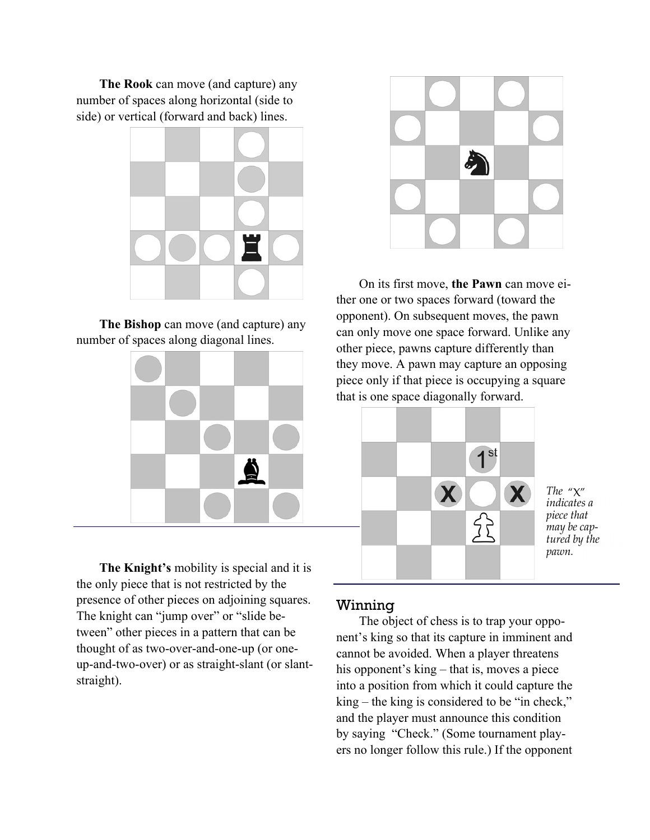**The Rook** can move (and capture) any number of spaces along horizontal (side to side) or vertical (forward and back) lines.



**The Bishop** can move (and capture) any number of spaces along diagonal lines.



**The Knight's** mobility is special and it is the only piece that is not restricted by the presence of other pieces on adjoining squares. The knight can "jump over" or "slide between" other pieces in a pattern that can be thought of as two-over-and-one-up (or oneup-and-two-over) or as straight-slant (or slantstraight).



On its first move, **the Pawn** can move either one or two spaces forward (toward the opponent). On subsequent moves, the pawn can only move one space forward. Unlike any other piece, pawns capture differently than they move. A pawn may capture an opposing piece only if that piece is occupying a square that is one space diagonally forward.



*The* "X" *indicates a piece that may be captured by the pawn.* 

#### Winning

The object of chess is to trap your opponent's king so that its capture in imminent and cannot be avoided. When a player threatens his opponent's king – that is, moves a piece into a position from which it could capture the king – the king is considered to be "in check," and the player must announce this condition by saying "Check." (Some tournament players no longer follow this rule.) If the opponent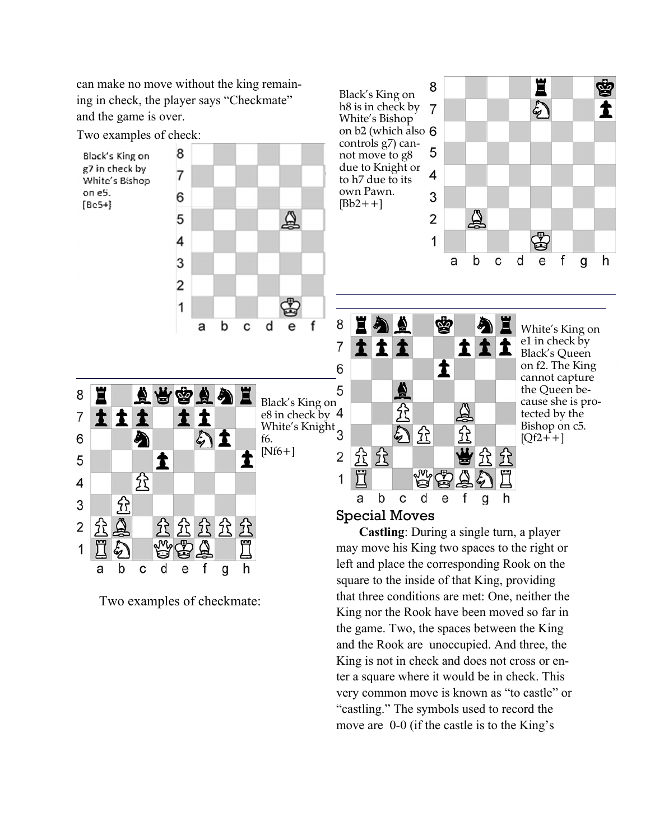can make no move without the king remaining in check, the player says "Checkmate" and the game is over.

Two examples of check:

Black's King on g7 in check by White's Bishop on eS.  $[Be5+]$ 



Black's King on h8 is in check by 7 White's Bishop on b2 (which also controls g7) cannot move to g8 due to Knight or to h7 due to its own Pawn.  $[Bb2++]$ 





White's King on e1 in check by Black's Queen on f2. The King cannot capture the Queen because she is protected by the Bishop on c5.  $[Qf2++]$ 



Two examples of checkmate:

# Special Moves

**Castling**: During a single turn, a player may move his King two spaces to the right or left and place the corresponding Rook on the square to the inside of that King, providing that three conditions are met: One, neither the King nor the Rook have been moved so far in the game. Two, the spaces between the King and the Rook are unoccupied. And three, the King is not in check and does not cross or enter a square where it would be in check. This very common move is known as "to castle" or "castling." The symbols used to record the move are 0-0 (if the castle is to the King's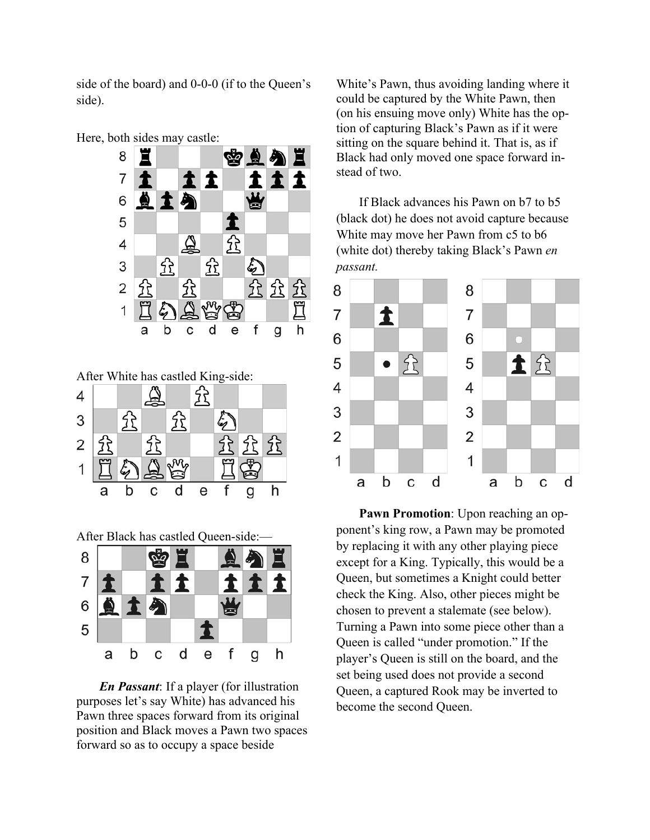side of the board) and 0-0-0 (if to the Queen's side).



After White has castled King-side:



After Black has castled Queen-side:—



*En Passant*: If a player (for illustration purposes let's say White) has advanced his Pawn three spaces forward from its original position and Black moves a Pawn two spaces forward so as to occupy a space beside

White's Pawn, thus avoiding landing where it could be captured by the White Pawn, then (on his ensuing move only) White has the option of capturing Black's Pawn as if it were sitting on the square behind it. That is, as if Black had only moved one space forward instead of two.

If Black advances his Pawn on b7 to b5 (black dot) he does not avoid capture because White may move her Pawn from c5 to b6 (white dot) thereby taking Black's Pawn *en passant.*



**Pawn Promotion**: Upon reaching an opponent's king row, a Pawn may be promoted by replacing it with any other playing piece except for a King. Typically, this would be a Queen, but sometimes a Knight could better check the King. Also, other pieces might be chosen to prevent a stalemate (see below). Turning a Pawn into some piece other than a Queen is called "under promotion." If the player's Queen is still on the board, and the set being used does not provide a second Queen, a captured Rook may be inverted to become the second Queen.